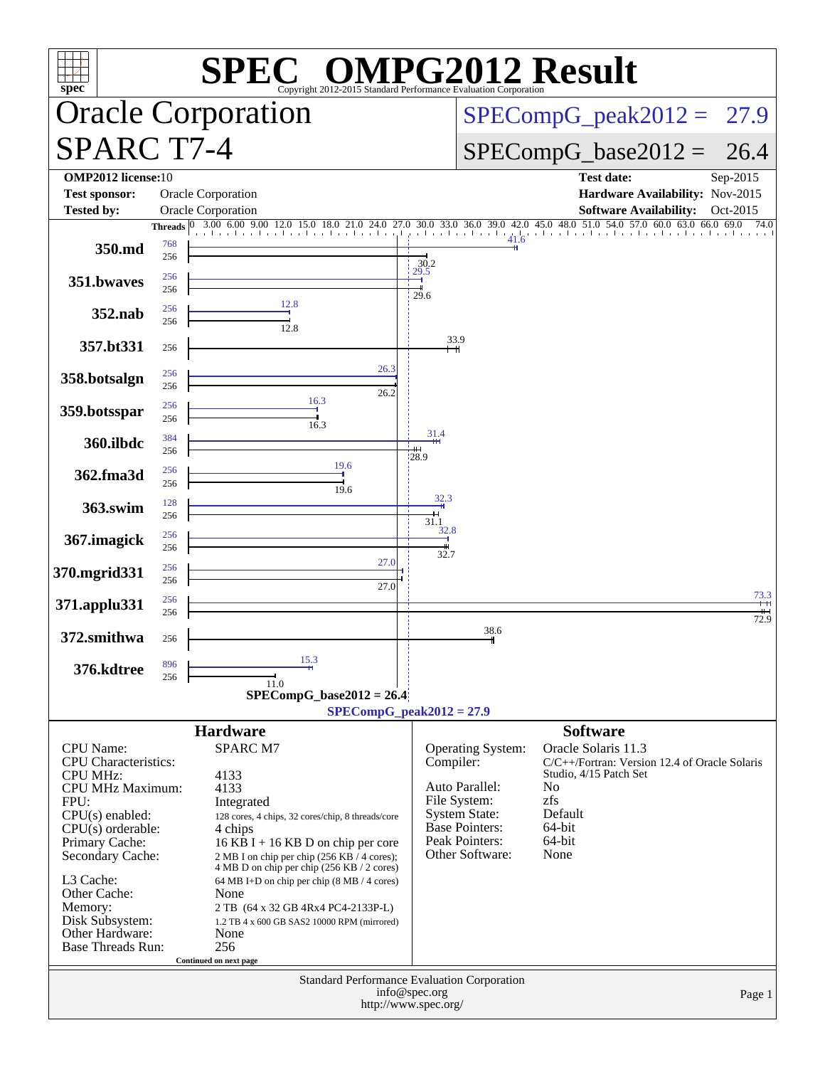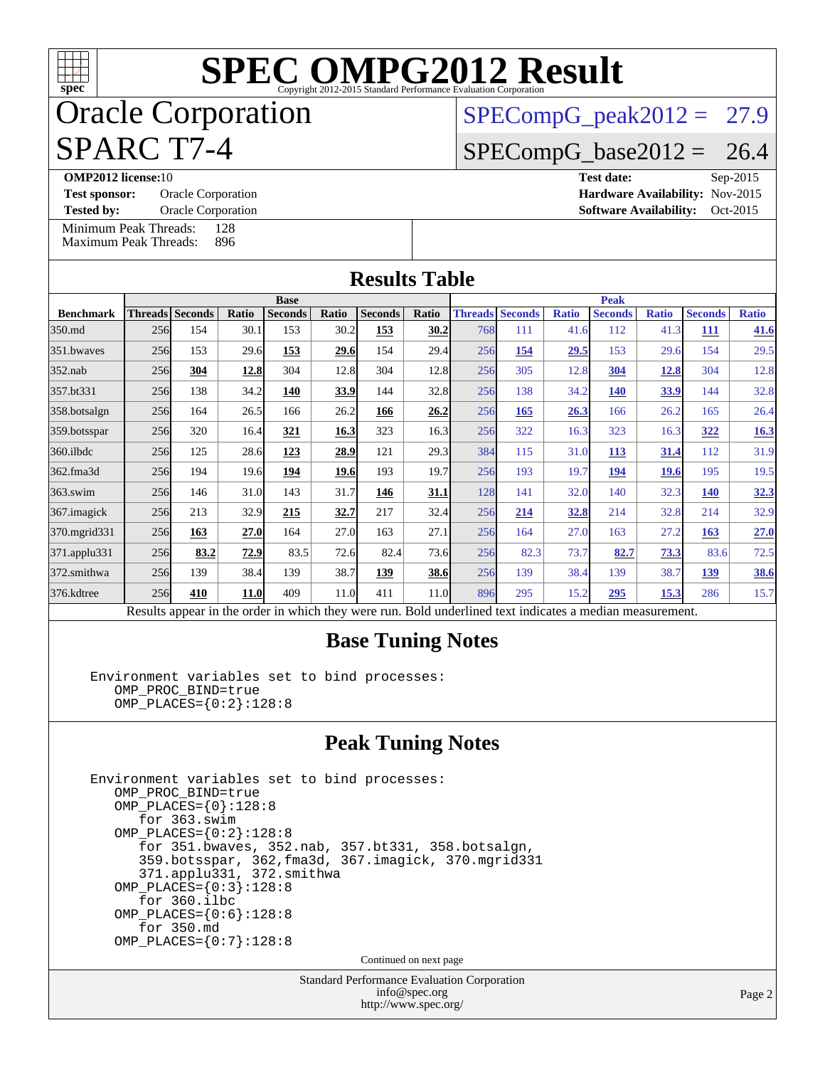## Oracle Corporation SPARC T7-4

 $SPECompG_peak2012 = 27.9$  $SPECompG_peak2012 = 27.9$ 

 $SPECompG_base2012 = 26.4$  $SPECompG_base2012 = 26.4$ 

**[OMP2012 license:](http://www.spec.org/auto/omp2012/Docs/result-fields.html#OMP2012license)**10 **[Test date:](http://www.spec.org/auto/omp2012/Docs/result-fields.html#Testdate)** Sep-2015

**[Test sponsor:](http://www.spec.org/auto/omp2012/Docs/result-fields.html#Testsponsor)** Oracle Corporation **[Hardware Availability:](http://www.spec.org/auto/omp2012/Docs/result-fields.html#HardwareAvailability)** Nov-2015 **[Tested by:](http://www.spec.org/auto/omp2012/Docs/result-fields.html#Testedby)** Oracle Corporation **[Software Availability:](http://www.spec.org/auto/omp2012/Docs/result-fields.html#SoftwareAvailability)** Oct-2015

[Minimum Peak Threads:](http://www.spec.org/auto/omp2012/Docs/result-fields.html#MinimumPeakThreads) 128<br>Maximum Peak Threads: 896 [Maximum Peak Threads:](http://www.spec.org/auto/omp2012/Docs/result-fields.html#MaximumPeakThreads)

| <b>Results Table</b>                                                                                     |             |                        |       |                |       |                |       |                        |      |              |                |              |                |              |
|----------------------------------------------------------------------------------------------------------|-------------|------------------------|-------|----------------|-------|----------------|-------|------------------------|------|--------------|----------------|--------------|----------------|--------------|
|                                                                                                          | <b>Base</b> |                        |       |                |       |                |       | <b>Peak</b>            |      |              |                |              |                |              |
| <b>Benchmark</b>                                                                                         |             | <b>Threads</b> Seconds | Ratio | <b>Seconds</b> | Ratio | <b>Seconds</b> | Ratio | <b>Threads Seconds</b> |      | <b>Ratio</b> | <b>Seconds</b> | <b>Ratio</b> | <b>Seconds</b> | <b>Ratio</b> |
| 350.md                                                                                                   | 256         | 154                    | 30.1  | 153            | 30.2  | 153            | 30.2  | 768                    | 111  | 41.6         | 112            | 41.3         | 111            | 41.6         |
| 351.bwaves                                                                                               | 256         | 153                    | 29.6  | 153            | 29.6  | 154            | 29.4  | 256                    | 154  | 29.5         | 153            | 29.6         | 154            | 29.5         |
| 352.nab                                                                                                  | 256         | 304                    | 12.8  | 304            | 12.8  | 304            | 12.8  | 256                    | 305  | 12.8         | 304            | 12.8         | 304            | 12.8         |
| 357.bt331                                                                                                | 256         | 138                    | 34.2  | 140            | 33.9  | 144            | 32.8  | 256                    | 138  | 34.2         | <b>140</b>     | 33.9         | 144            | 32.8         |
| 358.botsalgn                                                                                             | 256         | 164                    | 26.5  | 166            | 26.2  | 166            | 26.2  | 256                    | 165  | 26.3         | 166            | 26.2         | 165            | 26.4         |
| 359.botsspar                                                                                             | 256         | 320                    | 16.4  | 321            | 16.3  | 323            | 16.3  | 256                    | 322  | 16.3         | 323            | 16.3         | 322            | 16.3         |
| 360.ilbdc                                                                                                | 256         | 125                    | 28.6  | 123            | 28.9  | 121            | 29.3  | 384                    | 115  | 31.0         | <u>113</u>     | 31.4         | 112            | 31.9         |
| 362.fma3d                                                                                                | 256         | 194                    | 19.6  | 194            | 19.6  | 193            | 19.7  | 256                    | 193  | 19.7         | 194            | 19.6         | 195            | 19.5         |
| $363$ .swim                                                                                              | 256         | 146                    | 31.0  | 143            | 31.7  | 146            | 31.1  | 128                    | 141  | 32.0         | 140            | 32.3         | <b>140</b>     | 32.3         |
| 367.imagick                                                                                              | 256         | 213                    | 32.9  | 215            | 32.7  | 217            | 32.4  | 256                    | 214  | 32.8         | 214            | 32.8         | 214            | 32.9         |
| 370.mgrid331                                                                                             | 256         | 163                    | 27.0  | 164            | 27.0  | 163            | 27.1  | 256                    | 164  | 27.0         | 163            | 27.2         | 163            | 27.0         |
| 371.applu331                                                                                             | 256         | 83.2                   | 72.9  | 83.5           | 72.6  | 82.4           | 73.6  | 256                    | 82.3 | 73.7         | 82.7           | 73.3         | 83.6           | 72.5         |
| 372.smithwa                                                                                              | 256         | 139                    | 38.4  | 139            | 38.7  | 139            | 38.6  | 256                    | 139  | 38.4         | 139            | 38.7         | 139            | <b>38.6</b>  |
| 376.kdtree                                                                                               | 256         | 410                    | 11.0  | 409            | 11.0  | 411            | 11.0  | 896                    | 295  | 15.2         | 295            | 15.3         | 286            | 15.7         |
| Results appear in the order in which they were run. Bold underlined text indicates a median measurement. |             |                        |       |                |       |                |       |                        |      |              |                |              |                |              |

#### **[Base Tuning Notes](http://www.spec.org/auto/omp2012/Docs/result-fields.html#BaseTuningNotes)**

 Environment variables set to bind processes: OMP\_PROC\_BIND=true OMP\_PLACES={0:2}:128:8

#### **[Peak Tuning Notes](http://www.spec.org/auto/omp2012/Docs/result-fields.html#PeakTuningNotes)**

 Environment variables set to bind processes: OMP\_PROC\_BIND=true  $OMP\_PLACES = \{0\} : 128 : 8$  for 363.swim OMP\_PLACES={0:2}:128:8 for 351.bwaves, 352.nab, 357.bt331, 358.botsalgn, 359.botsspar, 362,fma3d, 367.imagick, 370.mgrid331 371.applu331, 372.smithwa OMP\_PLACES={0:3}:128:8 for 360.ilbc OMP  $PLACES = \{0:6\} : 128:8$  for 350.md OMP\_PLACES={0:7}:128:8 Continued on next page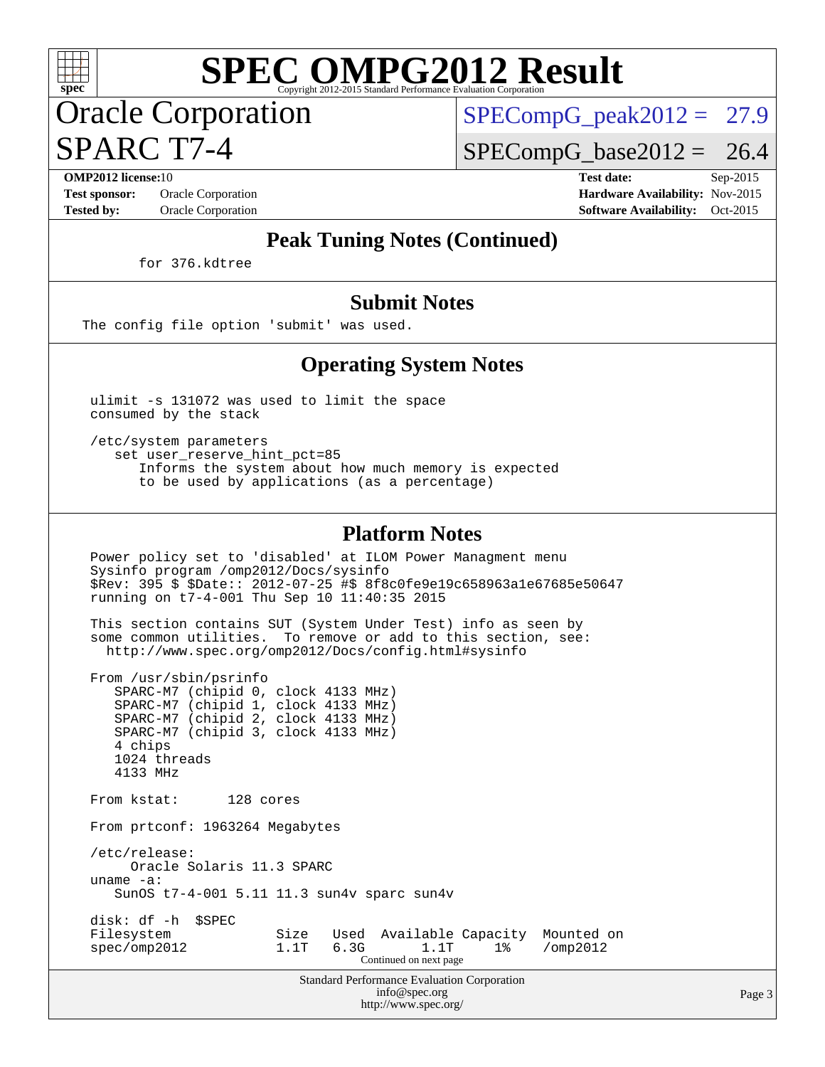Oracle Corporation SPARC T7-4

 $SPECompG<sub>peak2012</sub> = 27.9$ 

 $SPECompG_base2012 = 26.4$  $SPECompG_base2012 = 26.4$ 

**[OMP2012 license:](http://www.spec.org/auto/omp2012/Docs/result-fields.html#OMP2012license)**10 **[Test date:](http://www.spec.org/auto/omp2012/Docs/result-fields.html#Testdate)** Sep-2015 **[Test sponsor:](http://www.spec.org/auto/omp2012/Docs/result-fields.html#Testsponsor)** Oracle Corporation **[Hardware Availability:](http://www.spec.org/auto/omp2012/Docs/result-fields.html#HardwareAvailability)** Nov-2015 **[Tested by:](http://www.spec.org/auto/omp2012/Docs/result-fields.html#Testedby)** Oracle Corporation **[Software Availability:](http://www.spec.org/auto/omp2012/Docs/result-fields.html#SoftwareAvailability)** Oct-2015

#### **[Peak Tuning Notes \(Continued\)](http://www.spec.org/auto/omp2012/Docs/result-fields.html#PeakTuningNotes)**

for 376.kdtree

#### **[Submit Notes](http://www.spec.org/auto/omp2012/Docs/result-fields.html#SubmitNotes)**

The config file option 'submit' was used.

#### **[Operating System Notes](http://www.spec.org/auto/omp2012/Docs/result-fields.html#OperatingSystemNotes)**

 ulimit -s 131072 was used to limit the space consumed by the stack

 /etc/system parameters set user reserve hint pct=85 Informs the system about how much memory is expected to be used by applications (as a percentage)

#### **[Platform Notes](http://www.spec.org/auto/omp2012/Docs/result-fields.html#PlatformNotes)**

 Power policy set to 'disabled' at ILOM Power Managment menu Sysinfo program /omp2012/Docs/sysinfo \$Rev: 395 \$ \$Date:: 2012-07-25 #\$ 8f8c0fe9e19c658963a1e67685e50647 running on t7-4-001 Thu Sep 10 11:40:35 2015

 This section contains SUT (System Under Test) info as seen by some common utilities. To remove or add to this section, see: <http://www.spec.org/omp2012/Docs/config.html#sysinfo>

 From /usr/sbin/psrinfo SPARC-M7 (chipid 0, clock 4133 MHz) SPARC-M7 (chipid 1, clock 4133 MHz) SPARC-M7 (chipid 2, clock 4133 MHz) SPARC-M7 (chipid 3, clock 4133 MHz) 4 chips 1024 threads 4133 MHz From kstat: 128 cores From prtconf: 1963264 Megabytes /etc/release: Oracle Solaris 11.3 SPARC uname -a: SunOS t7-4-001 5.11 11.3 sun4v sparc sun4v disk: df -h \$SPEC Filesystem Size Used Available Capacity Mounted on<br>spec/omp2012 1.1T 6.3G 1.1T 1% /omp2012 spec/omp2012 1.1T 6.3G Continued on next page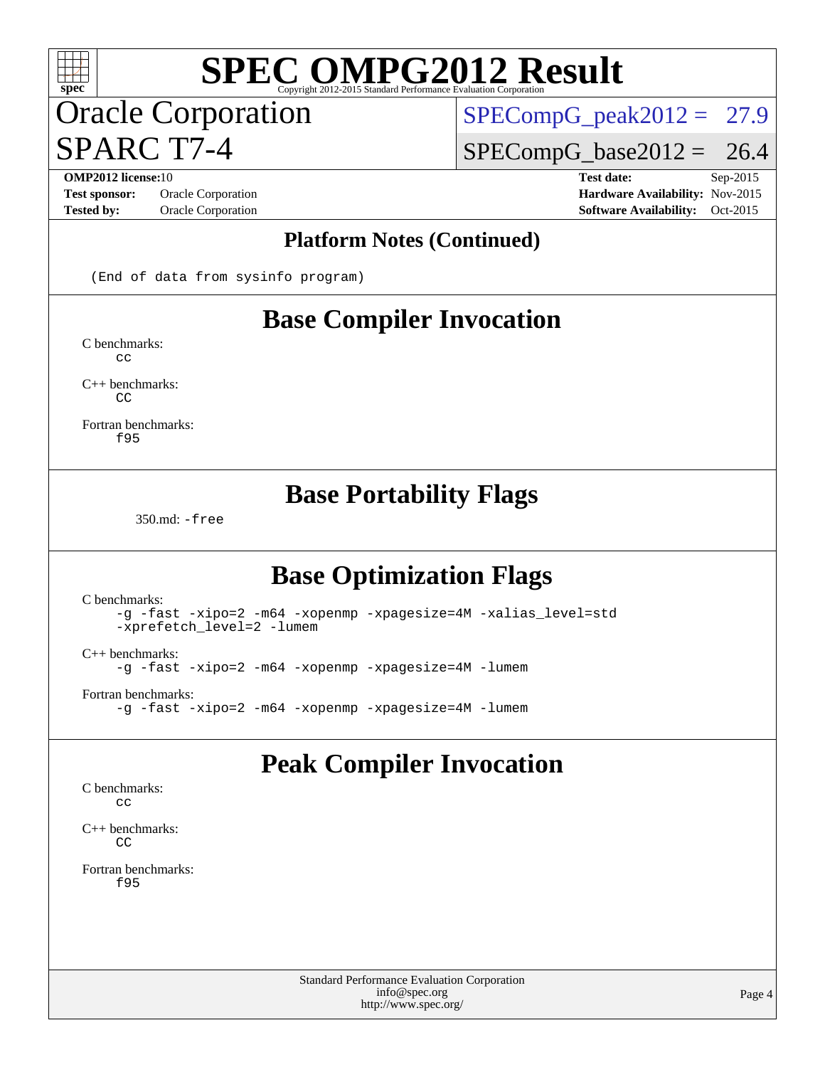## Oracle Corporation SPARC T7-4

 $SPECompG_peak2012 = 27.9$  $SPECompG_peak2012 = 27.9$ 

 $SPECompG_base2012 = 26.4$  $SPECompG_base2012 = 26.4$ 

**[OMP2012 license:](http://www.spec.org/auto/omp2012/Docs/result-fields.html#OMP2012license)**10 **[Test date:](http://www.spec.org/auto/omp2012/Docs/result-fields.html#Testdate)** Sep-2015 **[Test sponsor:](http://www.spec.org/auto/omp2012/Docs/result-fields.html#Testsponsor)** Oracle Corporation **[Hardware Availability:](http://www.spec.org/auto/omp2012/Docs/result-fields.html#HardwareAvailability)** Nov-2015 **[Tested by:](http://www.spec.org/auto/omp2012/Docs/result-fields.html#Testedby)** Oracle Corporation **[Software Availability:](http://www.spec.org/auto/omp2012/Docs/result-fields.html#SoftwareAvailability)** Oct-2015

#### **[Platform Notes \(Continued\)](http://www.spec.org/auto/omp2012/Docs/result-fields.html#PlatformNotes)**

(End of data from sysinfo program)

### **[Base Compiler Invocation](http://www.spec.org/auto/omp2012/Docs/result-fields.html#BaseCompilerInvocation)**

[C benchmarks](http://www.spec.org/auto/omp2012/Docs/result-fields.html#Cbenchmarks):  $C<sub>c</sub>$ 

[C++ benchmarks:](http://www.spec.org/auto/omp2012/Docs/result-fields.html#CXXbenchmarks)  $\Gamma$ 

[Fortran benchmarks](http://www.spec.org/auto/omp2012/Docs/result-fields.html#Fortranbenchmarks): [f95](http://www.spec.org/omp2012/results/res2015q4/omp2012-20151026-00067.flags.html#user_FCbase_oracle_studio_f90_478ed2b7f236de3a2944bab041d5ab74)

#### **[Base Portability Flags](http://www.spec.org/auto/omp2012/Docs/result-fields.html#BasePortabilityFlags)**

350.md: [-free](http://www.spec.org/omp2012/results/res2015q4/omp2012-20151026-00067.flags.html#user_baseFPORTABILITY350_md_F-free)

### **[Base Optimization Flags](http://www.spec.org/auto/omp2012/Docs/result-fields.html#BaseOptimizationFlags)**

[C benchmarks](http://www.spec.org/auto/omp2012/Docs/result-fields.html#Cbenchmarks): [-g](http://www.spec.org/omp2012/results/res2015q4/omp2012-20151026-00067.flags.html#user_CCbase_F-g) [-fast](http://www.spec.org/omp2012/results/res2015q4/omp2012-20151026-00067.flags.html#user_CCbase_fast_cc) [-xipo=2](http://www.spec.org/omp2012/results/res2015q4/omp2012-20151026-00067.flags.html#user_CCbase_xipo_5e3708e8f61bc7c7cade0f8c4dada1db) [-m64](http://www.spec.org/omp2012/results/res2015q4/omp2012-20151026-00067.flags.html#user_CCbase_F-m64) [-xopenmp](http://www.spec.org/omp2012/results/res2015q4/omp2012-20151026-00067.flags.html#user_CCbase_xopenmp) [-xpagesize=4M](http://www.spec.org/omp2012/results/res2015q4/omp2012-20151026-00067.flags.html#user_CCbase_xpagesize_91030b1beb2aea27ca57700214e02a09) [-xalias\\_level=std](http://www.spec.org/omp2012/results/res2015q4/omp2012-20151026-00067.flags.html#user_CCbase_xalias_level_cc_ed12b6aa9cc1ccf9ee8329664a2d2066) [-xprefetch\\_level=2](http://www.spec.org/omp2012/results/res2015q4/omp2012-20151026-00067.flags.html#user_CCbase_xprefetch_level_a95d45b25f6cde09b31d400468e2d02f) [-lumem](http://www.spec.org/omp2012/results/res2015q4/omp2012-20151026-00067.flags.html#user_CCbase_F-lumem) [C++ benchmarks:](http://www.spec.org/auto/omp2012/Docs/result-fields.html#CXXbenchmarks) [-g](http://www.spec.org/omp2012/results/res2015q4/omp2012-20151026-00067.flags.html#user_CXXbase_F-g) [-fast](http://www.spec.org/omp2012/results/res2015q4/omp2012-20151026-00067.flags.html#user_CXXbase_fast_CC) [-xipo=2](http://www.spec.org/omp2012/results/res2015q4/omp2012-20151026-00067.flags.html#user_CXXbase_xipo_5e3708e8f61bc7c7cade0f8c4dada1db) [-m64](http://www.spec.org/omp2012/results/res2015q4/omp2012-20151026-00067.flags.html#user_CXXbase_F-m64) [-xopenmp](http://www.spec.org/omp2012/results/res2015q4/omp2012-20151026-00067.flags.html#user_CXXbase_xopenmp) [-xpagesize=4M](http://www.spec.org/omp2012/results/res2015q4/omp2012-20151026-00067.flags.html#user_CXXbase_xpagesize_91030b1beb2aea27ca57700214e02a09) [-lumem](http://www.spec.org/omp2012/results/res2015q4/omp2012-20151026-00067.flags.html#user_CXXbase_F-lumem) [Fortran benchmarks](http://www.spec.org/auto/omp2012/Docs/result-fields.html#Fortranbenchmarks): [-g](http://www.spec.org/omp2012/results/res2015q4/omp2012-20151026-00067.flags.html#user_FCbase_F-g) [-fast](http://www.spec.org/omp2012/results/res2015q4/omp2012-20151026-00067.flags.html#user_FCbase_fast_f90) [-xipo=2](http://www.spec.org/omp2012/results/res2015q4/omp2012-20151026-00067.flags.html#user_FCbase_xipo_5e3708e8f61bc7c7cade0f8c4dada1db) [-m64](http://www.spec.org/omp2012/results/res2015q4/omp2012-20151026-00067.flags.html#user_FCbase_F-m64) [-xopenmp](http://www.spec.org/omp2012/results/res2015q4/omp2012-20151026-00067.flags.html#user_FCbase_xopenmp) [-xpagesize=4M](http://www.spec.org/omp2012/results/res2015q4/omp2012-20151026-00067.flags.html#user_FCbase_xpagesize_91030b1beb2aea27ca57700214e02a09) [-lumem](http://www.spec.org/omp2012/results/res2015q4/omp2012-20151026-00067.flags.html#user_FCbase_F-lumem)

### **[Peak Compiler Invocation](http://www.spec.org/auto/omp2012/Docs/result-fields.html#PeakCompilerInvocation)**

[C benchmarks](http://www.spec.org/auto/omp2012/Docs/result-fields.html#Cbenchmarks):  $\sim$ 

[C++ benchmarks:](http://www.spec.org/auto/omp2012/Docs/result-fields.html#CXXbenchmarks) [CC](http://www.spec.org/omp2012/results/res2015q4/omp2012-20151026-00067.flags.html#user_CXXpeak_oracle_studio_CC)

[Fortran benchmarks](http://www.spec.org/auto/omp2012/Docs/result-fields.html#Fortranbenchmarks): [f95](http://www.spec.org/omp2012/results/res2015q4/omp2012-20151026-00067.flags.html#user_FCpeak_oracle_studio_f90_478ed2b7f236de3a2944bab041d5ab74)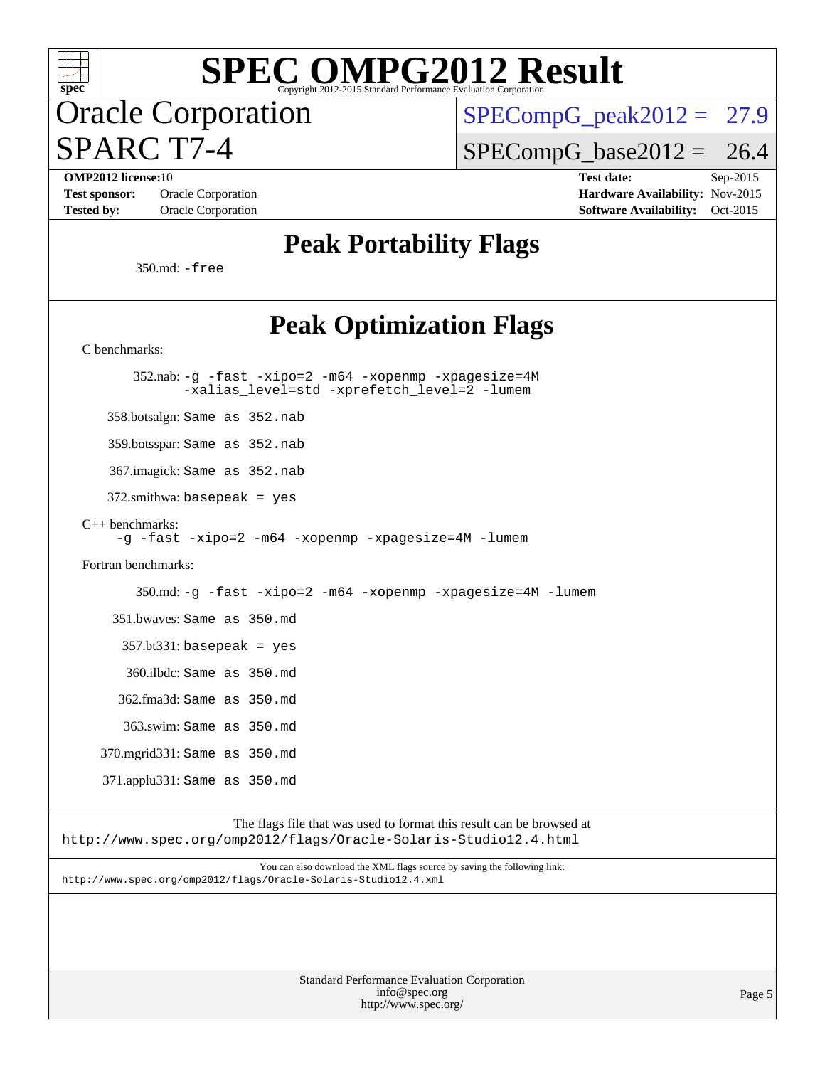

## Oracle Corporation SPARC T7-4

 $SPECompG_peak2012 = 27.9$  $SPECompG_peak2012 = 27.9$ 

 $SPECompG_base2012 = 26.4$  $SPECompG_base2012 = 26.4$ 

**[OMP2012 license:](http://www.spec.org/auto/omp2012/Docs/result-fields.html#OMP2012license)**10 **[Test date:](http://www.spec.org/auto/omp2012/Docs/result-fields.html#Testdate)** Sep-2015 [Test sponsor:](http://www.spec.org/auto/omp2012/Docs/result-fields.html#Testsponsor) Oracle Corporation **[Hardware Availability:](http://www.spec.org/auto/omp2012/Docs/result-fields.html#HardwareAvailability)** Nov-2015 **[Tested by:](http://www.spec.org/auto/omp2012/Docs/result-fields.html#Testedby)** Oracle Corporation **[Software Availability:](http://www.spec.org/auto/omp2012/Docs/result-fields.html#SoftwareAvailability)** Oct-2015

### **[Peak Portability Flags](http://www.spec.org/auto/omp2012/Docs/result-fields.html#PeakPortabilityFlags)**

350.md: [-free](http://www.spec.org/omp2012/results/res2015q4/omp2012-20151026-00067.flags.html#user_peakFPORTABILITY350_md_F-free)

### Poak **Ontimization Flags**

| і сак Оринпланон гіадэ                                                                                                                      |
|---------------------------------------------------------------------------------------------------------------------------------------------|
| C benchmarks:                                                                                                                               |
| 352.nab: -g -fast -xipo=2 -m64 -xopenmp -xpagesize=4M<br>-xalias_level=std -xprefetch_level=2 -lumem                                        |
| 358.botsalgn: Same as 352.nab                                                                                                               |
| 359.botsspar: Same as 352.nab                                                                                                               |
| 367.imagick: Same as 352.nab                                                                                                                |
| $372$ .smithwa: basepeak = yes                                                                                                              |
| $C++$ benchmarks:<br>-g -fast -xipo=2 -m64 -xopenmp -xpagesize=4M -lumem                                                                    |
| Fortran benchmarks:                                                                                                                         |
| 350.md: -g -fast -xipo=2 -m64 -xopenmp -xpagesize=4M -lumem                                                                                 |
| 351.bwaves: Same as 350.md                                                                                                                  |
| $357.bt331$ : basepeak = yes                                                                                                                |
| 360.ilbdc: Same as 350.md                                                                                                                   |
| 362.fma3d: Same as 350.md                                                                                                                   |
| 363.swim: Same as 350.md                                                                                                                    |
| 370.mgrid331: Same as 350.md                                                                                                                |
| 371.applu331: Same as 350.md                                                                                                                |
| The flags file that was used to format this result can be browsed at<br>http://www.spec.org/omp2012/flags/Oracle-Solaris-Studio12.4.html    |
| You can also download the XML flags source by saving the following link:<br>http://www.spec.org/omp2012/flags/Oracle-Solaris-Studio12.4.xml |
|                                                                                                                                             |
|                                                                                                                                             |
|                                                                                                                                             |